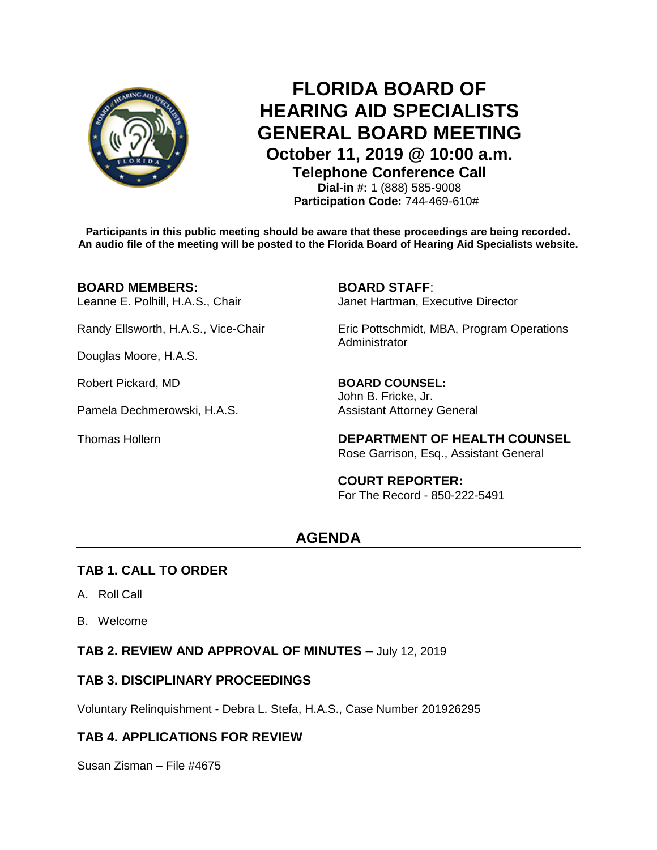

# **FLORIDA BOARD OF HEARING AID SPECIALISTS GENERAL BOARD MEETING October 11, 2019 @ 10:00 a.m.**

**Telephone Conference Call**

**Dial-in #:** 1 (888) 585-9008 **Participation Code:** 744-469-610#

**Participants in this public meeting should be aware that these proceedings are being recorded. An audio file of the meeting will be posted to the Florida Board of Hearing Aid Specialists website.**

#### **BOARD MEMBERS: BOARD STAFF**:

Douglas Moore, H.A.S.

Robert Pickard, MD **BOARD COUNSEL:** 

Pamela Dechmerowski, H.A.S. Assistant Attorney General

Leanne E. Polhill, H.A.S., Chair **Janet Hartman, Executive Director** 

Randy Ellsworth, H.A.S., Vice-Chair Eric Pottschmidt, MBA, Program Operations Administrator

John B. Fricke, Jr.

Thomas Hollern **DEPARTMENT OF HEALTH COUNSEL** Rose Garrison, Esq., Assistant General

> **COURT REPORTER:** For The Record - 850-222-5491

## **AGENDA**

#### **TAB 1. CALL TO ORDER**

- A. Roll Call
- B. Welcome

**TAB 2. REVIEW AND APPROVAL OF MINUTES –** July 12, 2019

## **TAB 3. DISCIPLINARY PROCEEDINGS**

Voluntary Relinquishment - Debra L. Stefa, H.A.S., Case Number 201926295

## **TAB 4. APPLICATIONS FOR REVIEW**

Susan Zisman – File #4675